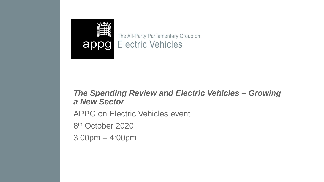

The All-Party Parliamentary Group on appg Electric Vehicles

## *The Spending Review and Electric Vehicles – Growing a New Sector*

APPG on Electric Vehicles event

8<sup>th</sup> October 2020

3:00pm – 4:00pm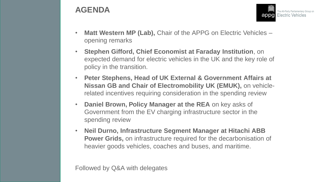## **AGENDA**

• **Matt Western MP (Lab),** Chair of the APPG on Electric Vehicles – opening remarks

The All-Party Parliamentary Group on **Electric Vehicles** 

appd

- **Stephen Gifford, Chief Economist at Faraday Institution**, on expected demand for electric vehicles in the UK and the key role of policy in the transition.
- **Peter Stephens, Head of UK External & Government Affairs at Nissan GB and Chair of Electromobility UK (EMUK),** on vehiclerelated incentives requiring consideration in the spending review
- **Daniel Brown, Policy Manager at the REA** on key asks of Government from the EV charging infrastructure sector in the spending review
- **Neil Durno, Infrastructure Segment Manager at Hitachi ABB Power Grids,** on infrastructure required for the decarbonisation of heavier goods vehicles, coaches and buses, and maritime.

Followed by Q&A with delegates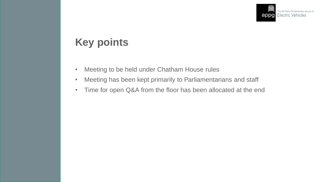

## **Key points**

- Meeting to be held under Chatham House rules
- Meeting has been kept primarily to Parliamentarians and staff
- Time for open Q&A from the floor has been allocated at the end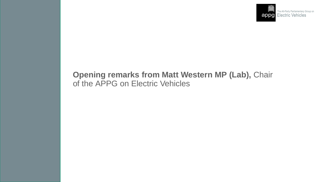

## **Opening remarks from Matt Western MP (Lab),** Chair of the APPG on Electric Vehicles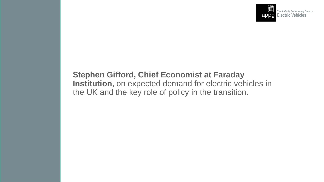

## **Stephen Gifford, Chief Economist at Faraday Institution**, on expected demand for electric vehicles in the UK and the key role of policy in the transition.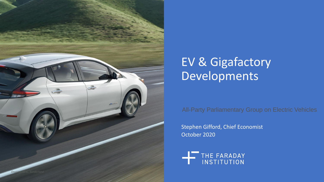

# EV & Gigafactory Developments

All-Party Parliamentary Group on Electric Vehicles

Stephen Gifford, Chief Economist October 2020

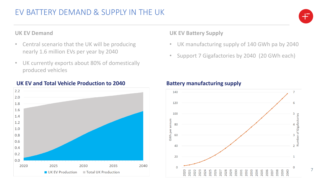7

### **UK EV Demand**

- Central scenario that the UK will be producing nearly 1.6 million EVs per year by 2040
- UK currently exports about 80% of domestically produced vehicles



### UK EV and Total Vehicle Production to 2040 **Battery manufacturing supply**

### **UK EV Battery Supply**

- UK manufacturing supply of 140 GWh pa by 2040
- Support 7 Gigafactories by 2040 (20 GWh each)

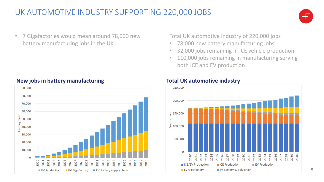

• 7 Gigafactories would mean around 78,000 new battery manufacturing jobs in the UK



### **New jobs in battery manufacturing Total UK automotive industry**

Total UK automotive industry of 220,000 jobs

- 78,000 new battery manufacturing jobs
- 32,000 jobs remaining in ICE vehicle production
- 110,000 jobs remaining in manufacturing serving both ICE and EV production

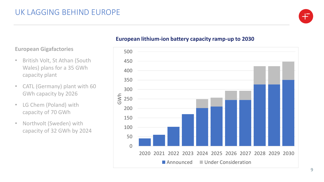

### **European Gigafactories**

- British Volt, St Athan (South Wales) plans for a 35 GWh capacity plant
- CATL (Germany) plant with 60 GWh capacity by 2026
- LG Chem (Poland) with capacity of 70 GWh
- Northvolt (Sweden) with capacity of 32 GWh by 2024

### **European lithium-ion battery capacity ramp-up to 2030**

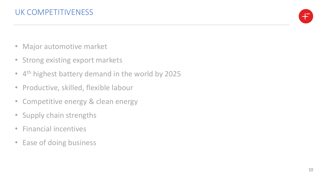

- Major automotive market
- Strong existing export markets
- 4<sup>th</sup> highest battery demand in the world by 2025
- Productive, skilled, flexible labour
- Competitive energy & clean energy
- Supply chain strengths
- Financial incentives
- Ease of doing business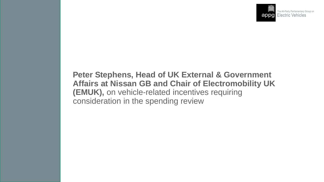

## **Peter Stephens, Head of UK External & Government Affairs at Nissan GB and Chair of Electromobility UK (EMUK),** on vehicle-related incentives requiring consideration in the spending review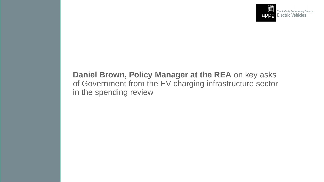

## **Daniel Brown, Policy Manager at the REA** on key asks of Government from the EV charging infrastructure sector in the spending review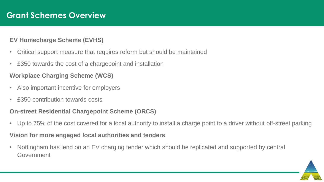### **EV Homecharge Scheme (EVHS)**

- Critical support measure that requires reform but should be maintained
- £350 towards the cost of a chargepoint and installation

### **Workplace Charging Scheme (WCS)**

- Also important incentive for employers
- £350 contribution towards costs

## **On-street Residential Chargepoint Scheme (ORCS)**

• Up to 75% of the cost covered for a local authority to install a charge point to a driver without off-street parking

### **Vision for more engaged local authorities and tenders**

• Nottingham has lend on an EV charging tender which should be replicated and supported by central Government

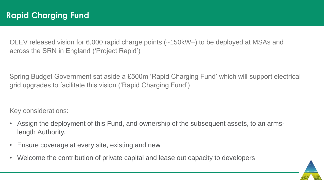OLEV released vision for 6,000 rapid charge points (~150kW+) to be deployed at MSAs and across the SRN in England ('Project Rapid')

Spring Budget Government sat aside a £500m 'Rapid Charging Fund' which will support electrical grid upgrades to facilitate this vision ('Rapid Charging Fund')

Key considerations:

- Assign the deployment of this Fund, and ownership of the subsequent assets, to an armslength Authority.
- Ensure coverage at every site, existing and new
- Welcome the contribution of private capital and lease out capacity to developers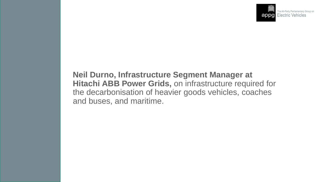

## **Neil Durno, Infrastructure Segment Manager at Hitachi ABB Power Grids,** on infrastructure required for the decarbonisation of heavier goods vehicles, coaches and buses, and maritime.